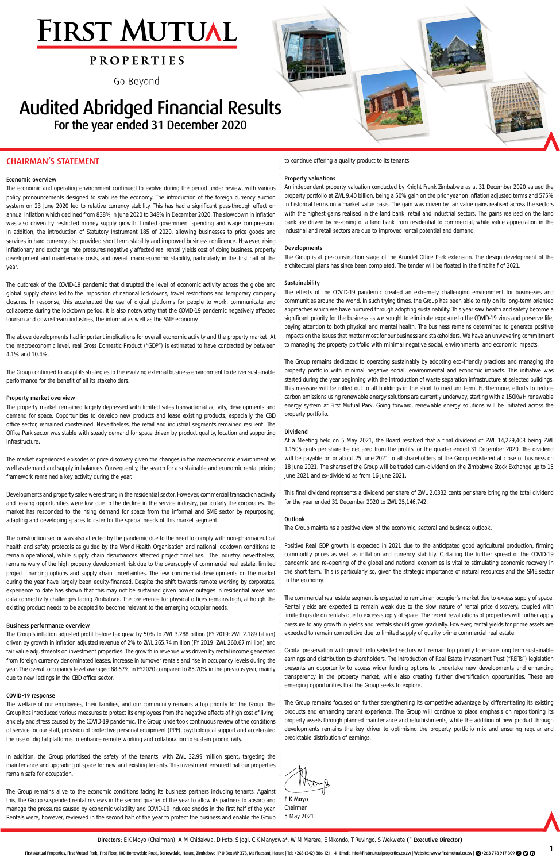1

# **FIRST MUTUAL**

### **p r o p e r t i e s**

Go Beyond

## Audited Abridged Financial Results For the year ended 31 December 2020

#### CHAIRMAN'S STATEMENT

#### Economic overview

The economic and operating environment continued to evolve during the period under review, with various policy pronouncements designed to stabilise the economy. The introduction of the foreign currency auction system on 23 June 2020 led to relative currency stability. This has had a significant pass-through effect on annual inflation which declined from 838% in June 2020 to 348% in December 2020. The slowdown in inflation was also driven by restricted money supply growth, limited government spending and wage compression. In addition, the introduction of Statutory Instrument 185 of 2020, allowing businesses to price goods and services in hard currency also provided short term stability and improved business confidence. However, rising inflationary and exchange rate pressures negatively affected real rental yields cost of doing business, property development and maintenance costs, and overall macroeconomic stability, particularly in the first half of the year.

The outbreak of the COVID-19 pandemic that disrupted the level of economic activity across the globe and global supply chains led to the imposition of national lockdowns, travel restrictions and temporary company closures. In response, this accelerated the use of digital platforms for people to work, communicate and collaborate during the lockdown period. It is also noteworthy that the COVID-19 pandemic negatively affected tourism and downstream industries, the informal as well as the SME economy.

The above developments had important implications for overall economic activity and the property market. At the macroeconomic level, real Gross Domestic Product ("GDP") is estimated to have contracted by between 4.1% and 10.4%.

The Group continued to adapt its strategies to the evolving external business environment to deliver sustainable performance for the benefit of all its stakeholders.

#### Property market overview

The property market remained largely depressed with limited sales transactional activity, developments and demand for space. Opportunities to develop new products and lease existing products, especially the CBD office sector, remained constrained. Nevertheless, the retail and industrial segments remained resilient. The Office Park sector was stable with steady demand for space driven by product quality, location and supporting infrastructure.

The market experienced episodes of price discovery given the changes in the macroeconomic environment as well as demand and supply imbalances. Consequently, the search for a sustainable and economic rental pricing framework remained a key activity during the year.

In addition, the Group prioritised the safety of the tenants, with ZWL 32.99 million spent, targeting the maintenance and upgrading of space for new and existing tenants. This investment ensured that our properties remain safe for occupation.

The Group remains alive to the economic conditions facing its business partners including tenants. Against this, the Group suspended rental reviews in the second quarter of the year to allow its partners to absorb and manage the pressures caused by economic volatility and COVID-19 induced shocks in the first half of the year. Rentals were, however, reviewed in the second half of the year to protect the business and enable the Group Chairman  $\frac{1}{5}$  5 May 2021

Developments and property sales were strong in the residential sector. However, commercial transaction activity and leasing opportunities were low due to the decline in the service industry, particularly the corporates. The market has responded to the rising demand for space from the informal and SME sector by repurposing, adapting and developing spaces to cater for the special needs of this market segment.

The construction sector was also affected by the pandemic due to the need to comply with non-pharmaceutical health and safety protocols as guided by the World Health Organisation and national lockdown conditions to remain operational, while supply chain disturbances affected project timelines. The industry, nevertheless, remains wary of the high property development risk due to the oversupply of commercial real estate, limited project financing options and supply chain uncertainties. The few commercial developments on the market during the year have largely been equity-financed. Despite the shift towards remote working by corporates, experience to date has shown that this may not be sustained given power outages in residential areas and data connectivity challenges facing Zimbabwe. The preference for physical offices remains high, although the existing product needs to be adapted to become relevant to the emerging occupier needs.

#### Business performance overview

The Group's inflation adjusted profit before tax grew by 50% to ZWL 3.288 billion (FY 2019: ZWL 2.189 billion) driven by growth in inflation adjusted revenue of 2% to ZWL 265.74 million (FY 2019: ZWL 260.67 million) and fair value adjustments on investment properties. The growth in revenue was driven by rental income generated from foreign currency denominated leases, increase in turnover rentals and rise in occupancy levels during the year. The overall occupancy level averaged 88.67% in FY2020 compared to 85.70% in the previous year, mainly due to new lettings in the CBD office sector.

#### COVID-19 response

The welfare of our employees, their families, and our community remains a top priority for the Group. The Group has introduced various measures to protect its employees from the negative effects of high cost of living, anxiety and stress caused by the COVID-19 pandemic. The Group undertook continuous review of the conditions of service for our staff, provision of protective personal equipment (PPE), psychological support and accelerated the use of digital platforms to enhance remote working and collaboration to sustain productivity.

to continue offering a quality product to its tenants.

#### Property valuations

An independent property valuation conducted by Knight Frank Zimbabwe as at 31 December 2020 valued the property portfolio at ZWL 9.40 billion, being a 50% gain on the prior year on inflation adjusted terms and 575% in historical terms on a market value basis. The gain was driven by fair value gains realised across the sectors with the highest gains realised in the land bank, retail and industrial sectors. The gains realised on the land bank are driven by re-zoning of a land bank from residential to commercial, while value appreciation in the industrial and retail sectors are due to improved rental potential and demand.

#### Developments

The Group is at pre-construction stage of the Arundel Office Park extension. The design development of the architectural plans has since been completed. The tender will be floated in the first half of 2021.

#### Sustainability

The effects of the COVID-19 pandemic created an extremely challenging environment for businesses and communities around the world. In such trying times, the Group has been able to rely on its long-term oriented approaches which we have nurtured through adopting sustainability. This year saw health and safety become a significant priority for the business as we sought to eliminate exposure to the COVID-19 virus and preserve life, paying attention to both physical and mental health. The business remains determined to generate positive impacts on the issues that matter most for our business and stakeholders. We have an unwavering commitment to managing the property portfolio with minimal negative social, environmental and economic impacts.

The Group remains dedicated to operating sustainably by adopting eco-friendly practices and managing the property portfolio with minimal negative social, environmental and economic impacts. This initiative was started during the year beginning with the introduction of waste separation infrastructure at selected buildings. This measure will be rolled out to all buildings in the short to medium term. Furthermore, efforts to reduce carbon emissions using renewable energy solutions are currently underway, starting with a 150KwH renewable energy system at First Mutual Park. Going forward, renewable energy solutions will be initiated across the property portfolio.

#### Dividend

At a Meeting held on 5 May 2021, the Board resolved that a final dividend of ZWL 14,229,408 being ZWL 1.1505 cents per share be declared from the profits for the quarter ended 31 December 2020. The dividend will be payable on or about 25 June 2021 to all shareholders of the Group registered at close of business on 18 June 2021. The shares of the Group will be traded cum-dividend on the Zimbabwe Stock Exchange up to 15 June 2021 and ex-dividend as from 16 June 2021.

This final dividend represents a dividend per share of ZWL 2.0332 cents per share bringing the total dividend for the year ended 31 December 2020 to ZWL 25,146,742.

#### Outlook

The Group maintains a positive view of the economic, sectoral and business outlook.

Positive Real GDP growth is expected in 2021 due to the anticipated good agricultural production, firming commodity prices as well as inflation and currency stability. Curtailing the further spread of the COVID-19 pandemic and re-opening of the global and national economies is vital to stimulating economic recovery in the short term. This is particularly so, given the strategic importance of natural resources and the SME sector to the economy.

The commercial real estate segment is expected to remain an occupier's market due to excess supply of space. Rental yields are expected to remain weak due to the slow nature of rental price discovery, coupled with limited upside on rentals due to excess supply of space. The recent revaluations of properties will further apply pressure to any growth in yields and rentals should grow gradually. However, rental yields for prime assets are expected to remain competitive due to limited supply of quality prime commercial real estate.

Capital preservation with growth into selected sectors will remain top priority to ensure long term sustainable earnings and distribution to shareholders. The introduction of Real Estate Investment Trust ("REITs") legislation presents an opportunity to access wider funding options to undertake new developments and enhancing transparency in the property market, while also creating further diversification opportunities. These are

emerging opportunities that the Group seeks to explore.

The Group remains focused on further strengthening its competitive advantage by differentiating its existing products and enhancing tenant experience. The Group will continue to place emphasis on repositioning its property assets through planned maintenance and refurbishments, while the addition of new product through developments remains the key driver to optimising the property portfolio mix and ensuring regular and predictable distribution of earnings.



Directors: E K Moyo (Chairman), A M Chidakwa, D Hoto, S Jogi, C K Manyowa\*, W M Marere, E Mkondo, T Ruvingo, S Wekwete (\* Executive Director)

First Mutual Properties, First Mutual Park, First Floor, 100 Borrowdale Road, Borrowdale, Harare, Zimbabwe | P 0 Box MP 373, Mt Pleasant, Harare | Tel: +263 (242) 886 121 - 4 | Email: info@firstmutualproperties.co.zw | Web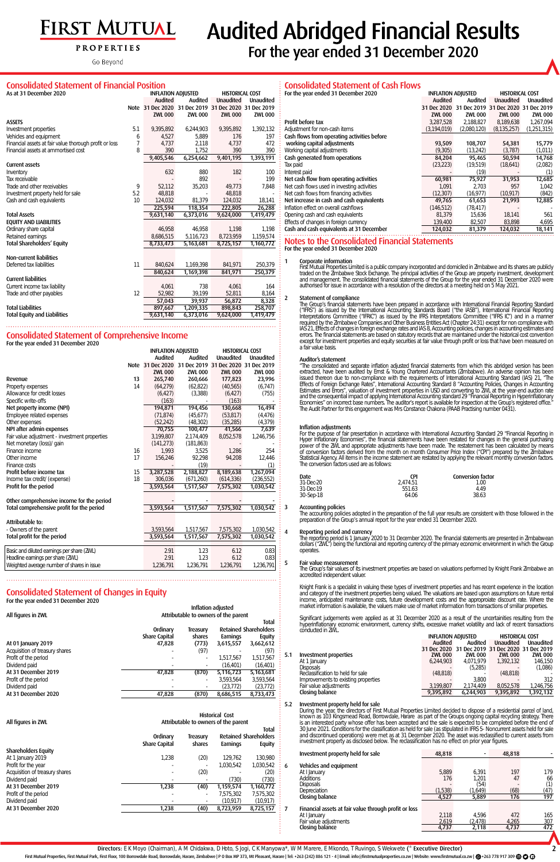# FIRST MUTUAL

#### **PROPERTIES**

Go Beyond

2

es Limited decided to dispose of a residential parcel of land, as part of the Groups ongoing capital recycling strategy. There and the sale is expected to be completed before the end of or sale (as stipulated in IFRS 5- Noncurrent assets held for sale ember 2020. The asset was reclassified to current assets from cation has no effect on prior year figures.

#### Consolidated Statement of Financial Position

| <u>Consolidated Statement of Financial Position</u>                           |     |                |                                                      |                  |                |  |  |  |
|-------------------------------------------------------------------------------|-----|----------------|------------------------------------------------------|------------------|----------------|--|--|--|
| As at 31 December 2020<br><b>HISTORICAL COST</b><br><b>INFLATION ADJUSTED</b> |     |                |                                                      |                  |                |  |  |  |
|                                                                               |     | <b>Audited</b> | Audited                                              | <b>Unaudited</b> | Unaudited      |  |  |  |
|                                                                               |     |                | Note 31 Dec 2020 31 Dec 2019 31 Dec 2020 31 Dec 2019 |                  |                |  |  |  |
|                                                                               |     | <b>ZWL 000</b> | <b>ZWL 000</b>                                       | <b>ZWL 000</b>   | <b>ZWL 000</b> |  |  |  |
| <b>ASSETS</b>                                                                 |     |                |                                                      |                  |                |  |  |  |
| Investment properties                                                         | 5.1 | 9,395,892      | 6,244,903                                            | 9,395,892        | 1,392,132      |  |  |  |
| Vehicles and equipment                                                        | 6   | 4.527          | 5.889                                                | 176              | 197            |  |  |  |
| Financial assets at fair value thorough profit or loss                        | 7   | 4,737          | 2,118                                                | 4,737            | 472            |  |  |  |
| Financial assets at ammortised cost                                           | 8   | 390            | 1.752                                                | 390              | 390            |  |  |  |
|                                                                               |     | 9,405,546      | 6,254,662                                            | 9,401,195        | 1,393,191      |  |  |  |
| Current assets                                                                |     |                |                                                      |                  |                |  |  |  |
| Inventory                                                                     |     | 632            | 880                                                  | 182              | 100            |  |  |  |
| Tax receivable                                                                |     |                | 892                                                  |                  | 199            |  |  |  |
| Trade and other receivables                                                   | 9   | 52,112         | 35,203                                               | 49,773           | 7,848          |  |  |  |
| Investment property held for sale                                             | 5.2 | 48,818         |                                                      | 48,818           |                |  |  |  |
| Cash and cash equivalents                                                     | 10  | 124,032        | 81,379                                               | 124,032          | 18,141         |  |  |  |
|                                                                               |     | 225,594        | 118,354                                              | 222,805          | 26,288         |  |  |  |
| <b>Total Assets</b>                                                           |     | 9,631,140      | 6,373,016                                            | 9,624,000        | 1,419,479      |  |  |  |
| <b>EQUITY AND LIABILITIES</b>                                                 |     |                |                                                      |                  |                |  |  |  |
| Ordinary share capital                                                        |     | 46,958         | 46.958                                               | 1,198            | 1.198          |  |  |  |
| Retained earnings                                                             |     | 8,686,515      | 5,116,723                                            | 8,723,959        | 1,159,574      |  |  |  |
| Total Shareholders' Equity                                                    |     | 8,733,473      | 5,163,681                                            | 8,725,157        | 1,160,772      |  |  |  |
| Non-current liabilities                                                       |     |                |                                                      |                  |                |  |  |  |
| Deferred tax liabilities                                                      | 11  | 840.624        | 1,169,398                                            | 841,971          | 250.379        |  |  |  |
|                                                                               |     | 840,624        | 1,169,398                                            | 841,971          | 250,379        |  |  |  |
| <b>Current liabilities</b>                                                    |     |                |                                                      |                  |                |  |  |  |
| Current income tax liability                                                  |     | 4,061          | 738                                                  | 4,061            | 164            |  |  |  |
| Trade and other payables                                                      | 12  | 52,982         | 39,199                                               | 52,811           | 8,164          |  |  |  |
|                                                                               |     | 57,043         | 39,937                                               | 56,872           | 8,328          |  |  |  |
| <b>Total Liabilities</b>                                                      |     | 897,667        | 1,209,335                                            | 898,843          | 258,707        |  |  |  |
| <b>Total Equity and Liabilities</b>                                           |     | 9,631,140      | 6,373,016                                            | 9,624,000        | 1,419,479      |  |  |  |

## Consolidated Statement of Comprehensive Income

| For the year ended 31 December 2020           |    |                                                     |                                                      |                  |                  |
|-----------------------------------------------|----|-----------------------------------------------------|------------------------------------------------------|------------------|------------------|
|                                               |    | <b>INFLATION ADJUSTED</b><br><b>HISTORICAL COST</b> |                                                      |                  |                  |
|                                               |    | <b>Audited</b>                                      | Audited                                              | <b>Unaudited</b> | <b>Unaudited</b> |
|                                               |    |                                                     | Note 31 Dec 2020 31 Dec 2019 31 Dec 2020 31 Dec 2019 |                  |                  |
|                                               |    | <b>ZWL 000</b>                                      | <b>ZWL 000</b>                                       | <b>ZWL 000</b>   | <b>ZWL 000</b>   |
| Revenue                                       | 13 | 265,740                                             | 260,666                                              | 177,823          | 23,996           |
| Property expenses                             | 14 | (64,279)                                            | (62, 822)                                            | (40,565)         | (6,747)          |
| Allowance for credit losses                   |    | (6.427)                                             | (3,388)                                              | (6.427)          | (755)            |
| Specific write-offs                           |    | (163)                                               |                                                      | (163)            |                  |
| Net property income (NPI)                     |    | 194,871                                             | 194,456                                              | 130,668          | 16,494           |
| Employee related expenses                     |    | (71, 874)                                           | (45,677)                                             | (53, 817)        | (4,476)          |
| Other expenses                                |    | (52, 242)                                           | (48, 302)                                            | (35, 285)        | (4, 379)         |
| NPI after admin expenses                      |    | 70,755                                              | 100,477                                              | 41,566           | 7,639            |
| Fair value adjustment - investment properties |    | 3,199,807                                           | 2,174,409                                            | 8,052,578        | 1,246,756        |
| Net monetary (loss)/gain                      |    | (141, 273)                                          | (181, 863)                                           |                  |                  |
| Finance income                                | 16 | 1,993                                               | 3,525                                                | 1,286            | 254              |
| Other income                                  | 17 | 156,246                                             | 92,298                                               | 94,208           | 12,446           |
| Finance costs                                 |    |                                                     | (19)                                                 |                  | (1)              |
| Profit before income tax                      | 15 | 3,287,528                                           | 2,188,827                                            | 8,189,638        | 1,267,094        |
| Income tax credit/(expense)                   | 18 | 306,036                                             | (671,260)                                            | (614, 336)       | (236, 552)       |
| Profit for the period                         |    | 3,593,564                                           | 1,517,567                                            | 7,575,302        | 1,030,542        |
| Other comprehensive income for the period     |    |                                                     |                                                      |                  |                  |
| Total comprehensive profit for the period     |    | 3,593,564                                           | 1,517,567                                            | 7,575,302        | 1,030,542        |
| Attributable to:                              |    |                                                     |                                                      |                  |                  |
| - Owners of the parent                        |    | 3,593,564                                           | 1,517,567                                            | 7,575,302        | 1,030,542        |
| Total profit for the period                   |    | 3,593,564                                           | 1,517,567                                            | 7,575,302        | 1,030,542        |
|                                               |    |                                                     |                                                      |                  |                  |
| Basic and diluted earnings per share (ZWL)    |    | 2.91                                                | 1.23                                                 | 6.12             | 0.83             |
| Headline earnings per share (ZWL)             |    | 2.91                                                | 1.23                                                 | 6.12             | 0.83             |
| Weighted average number of shares in issue    |    | 1,236,791                                           | 1,236,791                                            | 1,236,791        | 1,236,791        |

#### Consolidated Statement of Changes in Equity

Sharehold

| For the year ended 31 December 2020 |                      |          |                                      |                              |
|-------------------------------------|----------------------|----------|--------------------------------------|------------------------------|
|                                     |                      |          | Inflation adjusted                   |                              |
| All figures in ZWL                  |                      |          | Attributable to owners of the parent |                              |
|                                     |                      |          |                                      | Total                        |
|                                     | Ordinary             | Treasury |                                      | <b>Retained Shareholders</b> |
|                                     | <b>Share Capital</b> | shares   | Earnings                             | Equity                       |
| At 01 January 2019                  | 47,828               | (773)    | 3,615,557                            | 3,662,612                    |
| Acquisition of treasury shares      |                      | (97      |                                      | (97                          |
| Profit of the period                |                      |          | 1.517.567                            | 1.517.567                    |
| Dividend paid                       |                      |          | (16.401)                             | (16, 401)                    |
| At 31 December 2019                 | 47,828               | (870)    | 5,116,723                            | 5,163,681                    |
| Profit of the period                |                      |          | 3.593.564                            | 3.593.564                    |

# **Audited Abridged Financial Results**

For the year ended 31 December 2020

#### Consolidated Statement of Cash Flows

| For the year ended 31 December 2020         | <b>INFLATION ADJUSTED</b> |                | <b>HISTORICAL COST</b> |                 |
|---------------------------------------------|---------------------------|----------------|------------------------|-----------------|
|                                             | <b>Audited</b>            | Audited        | <b>Unaudited</b>       | Unaudited       |
|                                             | 31 Dec 2020               | 31             | Dec 2019 31 Dec 2020   | Dec 2019<br>-31 |
|                                             | <b>ZWL 000</b>            | <b>ZWL 000</b> | <b>ZWL 000</b>         | <b>ZWL 000</b>  |
| Profit before tax                           | 3,287,528                 | 2,188,827      | 8,189,638              | 1,267,094       |
| Adjustment for non-cash items               | (3, 194, 019)             | (2,080,120)    | (8, 135, 257)          | (1,251,315)     |
| Cash flows from operating activities before |                           |                |                        |                 |
| working capital adjustments                 | 93,509                    | 108,707        | 54,381                 | 15,779          |
| Working capital adjustments                 | (9,305)                   | (13,242)       | (3,787)                | (1,011)         |
| Cash generated from operations              | 84,204                    | 95,465         | 50,594                 | 14,768          |
| Tax paid                                    | (23, 223)                 | (19,519)       | (18,641)               | (2,082)         |
| Interest paid                               |                           | (19)           |                        | (1)             |
| Net cash flow from operating activities     | 60,981                    | 75,927         | 31,953                 | 12,685          |
| Net cash flows used in investing activities | 1,091                     | 2,703          | 957                    | 1,042           |
| Net cash flows from financing activities    | (12, 307)                 | (16, 977)      | (10, 917)              | (842)           |
| Net increase in cash and cash equivalents   | 49,765                    | 61,653         | 21,993                 | 12,885          |
| Inflation effect on overall cashflows       | (146, 512)                | (78, 417)      |                        |                 |
| Opening cash and cash equivalents           | 81,379                    | 15,636         | 18,141                 | 561             |
| Effects of changes in foreign currency      | 139,400                   | 82,507         | 83,898                 | 4,695           |
| Cash and cash equivalents at 31 December    | 124,032                   | 81,379         | 124,032                | 18,141          |

Fair value adjustments and the contract of the contract of the contract of the contract of the contract of the contract of the contract of the contract of the contract of the contract of the contract of the contract of the Closing balance 9,395,892 6,244,903 9,395,892 1,392,132

INFLATION ADJUSTED HISTORICAL COST

#### Notes to the Consolidated Financial Statements For the year ended 31 December 2020

#### 1 Corporate information

First Mutual Properties Limited is a public company incorporated and domiciled in Zimbabwe and its shares are publicly traded on the Zimbabwe Stock Exchange. The principal activities of the Group are property investment, development and management. The consolidated financial statements of the Group for the year ended 31 December 2020 were authorised for issue in accordance with a resolution of the directors at a meeting held on 5 May 2021.

#### 2 Statement of compliance

The Group's financial statements have been prepared in accordance with International Financial Reporting Standard ("IFRS") as issued by the International Accounting Standards Board ("the IASB"), International Financial Reporting Interpretations Committee ("IFRIC") as issued by the IFRS Interpretations Committee ("IFRS IC") and in a manner required by the Zimbabwe Companies and Other Business Entities Act (Chapter 24:31) except for non compliance with IAS 21, Effects of changes in foreign exchange rates and IAS 8, Accounting policies, changes in accounting estimates and errors. The financial statements are based on statutory records that are maintained under the historical cost convention except for investment properties and equity securities at fair value through profit or loss that have been measured on a fair value basis.

#### Auditor's statement

"The consolidated and separate inflation adjusted financial statements from which this abridged version has been extracted, have been audited by Ernst & Young Chartered Accountants (Zimbabwe). An adverse opinion has been issued thereon due to non-compliance with the requirements of International Accounting Standard (IAS) 21, "The Effects of Foreign Exchange Rates", International Accounting Standard 8 "Accounting Policies, Changes in Accounting Estimates and Errors", valuation of investment properties in USD and converting to ZWL at the year-end auction rate and the consequential impact of applying International Accounting standard 29 "Financial Reporting in Hyperinflationary Economies" on incorrect base numbers. The auditor's report is available for inspection at the Group's registered office." The Audit Partner for this engagement was Mrs Constance Chakona (PAAB Practising number 0431).

| Dividend paid                                   |                               |                | (23, 772)                                                      | (23, 772)                             |                                                                                                                                                                                                                                                                        | Fair value adjustments                                                                                         |
|-------------------------------------------------|-------------------------------|----------------|----------------------------------------------------------------|---------------------------------------|------------------------------------------------------------------------------------------------------------------------------------------------------------------------------------------------------------------------------------------------------------------------|----------------------------------------------------------------------------------------------------------------|
| At 31 December 2020                             | 47,828                        | (870)          | 8,686,515                                                      | 8,733,473                             |                                                                                                                                                                                                                                                                        | Closing balance                                                                                                |
| All figures in ZWL                              |                               |                | <b>Historical Cost</b><br>Attributable to owners of the parent | 5.2                                   | Investment property held for sale<br>During the year, the directors of First Mutual Properti<br>known as 103 Kingsmead Road, Borrowdale, Harare a<br>is an interested party whose offer has been accepted<br>30 June 2021. Conditions for the classification as held f |                                                                                                                |
|                                                 | Ordinary                      | Treasury       |                                                                | Total<br><b>Retained Shareholders</b> |                                                                                                                                                                                                                                                                        | and discontinued operations) were met as at 31 Dece<br>investment property as disclosed below. The reclassific |
| Shareholders Equity<br>At 1 January 2019        | <b>Share Capital</b><br>1,238 | shares<br>(20) | Earnings<br>129,762                                            | Equity<br>130,980                     |                                                                                                                                                                                                                                                                        | Investment property held for sale                                                                              |
| Profit for the year                             |                               |                | 1,030,542                                                      | 1,030,542                             | 6                                                                                                                                                                                                                                                                      | Vehicles and equipment                                                                                         |
| Acquisition of treasury shares<br>Dividend paid |                               | (20)           | (730)                                                          | (20)<br>(730)                         |                                                                                                                                                                                                                                                                        | At I January<br>Additions                                                                                      |
| At 31 December 2019                             | 1,238                         | (40)           | 1,159,574                                                      | 1,160,772                             |                                                                                                                                                                                                                                                                        | <b>Disposals</b>                                                                                               |
| Profit of the period                            |                               |                | 7,575,302                                                      | 7,575,302                             |                                                                                                                                                                                                                                                                        | Depreciation<br>Closing balance                                                                                |
| Dividend paid                                   |                               |                | (10, 917)                                                      | (10, 917)                             |                                                                                                                                                                                                                                                                        |                                                                                                                |
| At 31 December 2020                             | 1,238                         | (40)           | 8,723,959                                                      | 8,725,157                             |                                                                                                                                                                                                                                                                        | Financial assets at fair value through profit or loss                                                          |
|                                                 |                               |                |                                                                |                                       |                                                                                                                                                                                                                                                                        | At I January<br>Fair value adjustments<br>Closing balance                                                      |

#### Inflation adjustments

For the purpose of fair presentation in accordance with International Accounting Standard 29 "Financial Reporting in Hyper Inflationary Economies", the financial statements have been restated for changes in the general purchasing power of the ZWL and appropriate adjustments have been made. The restatement has been calculated by means of conversion factors derived from the month on month Consumer Price Index ("CPI") prepared by the Zimbabwe Statistical Agency. All items in the income statement are restated by applying the relevant monthly conversion factors. The conversion factors used are as follows:

| Date      | (PI      | Conversion factor |
|-----------|----------|-------------------|
| 31-Dec-20 | 2.474.51 | 1.00              |
| 31-Dec-19 | 551.63   | 449               |
| 30-Sep-18 | 64.06    | 38.63             |

#### 3 Accounting policies

The accounting policies adopted in the preparation of the full year results are consistent with those followed in the preparation of the Group's annual report for the year ended 31 December 2020.

#### 4 Reporting period and currency

The reporting period is 1 January 2020 to 31 December 2020. The financial statements are presented in Zimbabwean dollars ("ZWL") being the functional and reporting currency of the primary economic environment in which the Group operates.

#### 5 Fair value measurement

The Group's fair values of its investment properties are based on valuations performed by Knight Frank Zimbabwe an accredited independent valuer.

Knight Frank is a specialist in valuing these types of investment properties and has recent experience in the location and category of the investment properties being valued. The valuations are based upon assumptions on future rental income, anticipated maintenance costs, future development costs and the approproiate discount rate. Where the market information is available, the valuers make use of market information from transactions of smillar properties.

Significant judgements were applied as at 31 December 2020 as a result of the uncertainities resulting from the hyperinflationary economic environment, currency shifts, excessive market volatility and lack of recent transactions conducted in ZWL.

|     |                                     | Audited        | Audited                                         | Unaudited      | Unaudited      |
|-----|-------------------------------------|----------------|-------------------------------------------------|----------------|----------------|
|     |                                     |                | 31 Dec 2020 31 Dec 2019 31 Dec 2020 31 Dec 2019 |                |                |
| 5.1 | Investment properties               | <b>ZWL 000</b> | ZWL 000                                         | <b>ZWL 000</b> | <b>ZWL 000</b> |
|     | At 1 January                        | 6.244.903      | 4.071.979                                       | 1.392.132      | 146.150        |
|     | <b>Disposals</b>                    |                | (5.285)                                         |                | (1,086)        |
|     | Reclassification to held for sale   | (48, 818)      |                                                 | (48.818)       |                |
|     | Improvements to existing properties |                | 3.800                                           |                | 312            |

| Investment property held for sale                     | 48,818  | ۰       | 48,818 |      |
|-------------------------------------------------------|---------|---------|--------|------|
| Vehicles and equipment                                |         |         |        |      |
| At I January                                          | 5.889   | 6.391   | 197    | 179  |
| <b>Additions</b>                                      | 176     | 1.201   | 47     | 66   |
| <b>Disposals</b>                                      |         | (54)    |        | (1)  |
| Depreciation                                          | (1.538) | (1.649) | (68)   | (47) |
| Closing balance                                       | 4,527   | 5,889   | 176    | 197  |
| Financial assets at fair value through profit or loss |         |         |        |      |
| At I January                                          | 2.118   | 4.596   | 472    | 165  |
| Fair value adjustments                                | 2.619   | (2.478) | 4.265  | 307  |
| Closing balance                                       | 4,737   | 2,118   | 4,737  | 472  |

**Recutive Director)** 

First Mutual Properties, First Mutual Park, First Floor, 100 Borrowdale Road, Borrowdale, Harare, Zimbabwe | P 0 Box MP 373, Mt Pleasant, Harare | Tel: +263 (242) 886 121 - 4 | Email: info@firstmutual/properties.co.zw | We